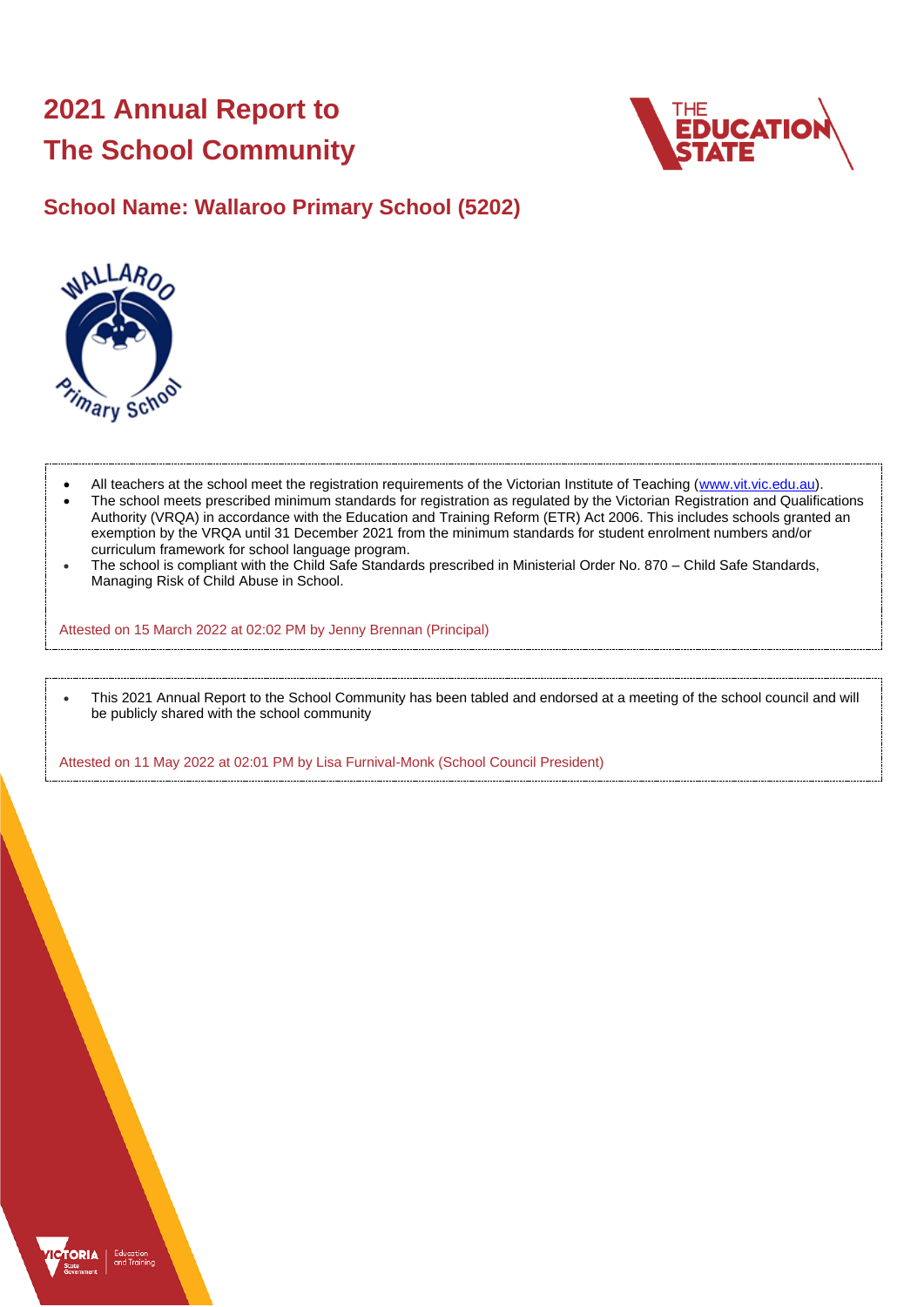# **2021 Annual Report to The School Community**



# **School Name: Wallaroo Primary School (5202)**



- All teachers at the school meet the registration requirements of the Victorian Institute of Teaching [\(www.vit.vic.edu.au\)](https://www.vit.vic.edu.au/).
- The school meets prescribed minimum standards for registration as regulated by the Victorian Registration and Qualifications Authority (VRQA) in accordance with the Education and Training Reform (ETR) Act 2006. This includes schools granted an exemption by the VRQA until 31 December 2021 from the minimum standards for student enrolment numbers and/or curriculum framework for school language program.
- The school is compliant with the Child Safe Standards prescribed in Ministerial Order No. 870 Child Safe Standards, Managing Risk of Child Abuse in School.

Attested on 15 March 2022 at 02:02 PM by Jenny Brennan (Principal)

• This 2021 Annual Report to the School Community has been tabled and endorsed at a meeting of the school council and will be publicly shared with the school community

Attested on 11 May 2022 at 02:01 PM by Lisa Furnival-Monk (School Council President)

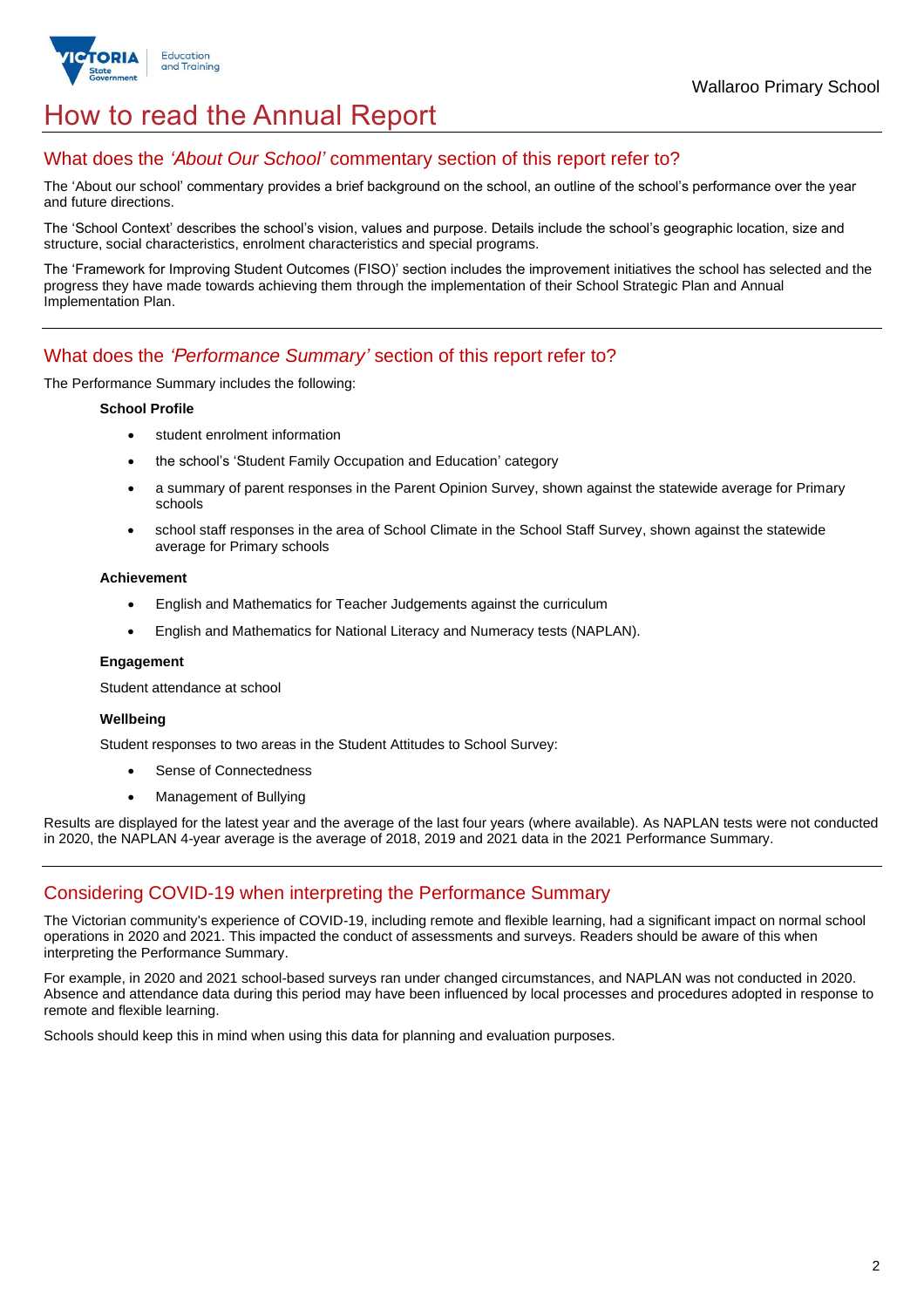

# How to read the Annual Report

### What does the *'About Our School'* commentary section of this report refer to?

The 'About our school' commentary provides a brief background on the school, an outline of the school's performance over the year and future directions.

The 'School Context' describes the school's vision, values and purpose. Details include the school's geographic location, size and structure, social characteristics, enrolment characteristics and special programs.

The 'Framework for Improving Student Outcomes (FISO)' section includes the improvement initiatives the school has selected and the progress they have made towards achieving them through the implementation of their School Strategic Plan and Annual Implementation Plan.

#### What does the *'Performance Summary'* section of this report refer to?

The Performance Summary includes the following:

#### **School Profile**

- student enrolment information
- the school's 'Student Family Occupation and Education' category
- a summary of parent responses in the Parent Opinion Survey, shown against the statewide average for Primary schools
- school staff responses in the area of School Climate in the School Staff Survey, shown against the statewide average for Primary schools

#### **Achievement**

- English and Mathematics for Teacher Judgements against the curriculum
- English and Mathematics for National Literacy and Numeracy tests (NAPLAN).

#### **Engagement**

Student attendance at school

#### **Wellbeing**

Student responses to two areas in the Student Attitudes to School Survey:

- Sense of Connectedness
- Management of Bullying

Results are displayed for the latest year and the average of the last four years (where available). As NAPLAN tests were not conducted in 2020, the NAPLAN 4-year average is the average of 2018, 2019 and 2021 data in the 2021 Performance Summary.

## Considering COVID-19 when interpreting the Performance Summary

The Victorian community's experience of COVID-19, including remote and flexible learning, had a significant impact on normal school operations in 2020 and 2021. This impacted the conduct of assessments and surveys. Readers should be aware of this when interpreting the Performance Summary.

For example, in 2020 and 2021 school-based surveys ran under changed circumstances, and NAPLAN was not conducted in 2020. Absence and attendance data during this period may have been influenced by local processes and procedures adopted in response to remote and flexible learning.

Schools should keep this in mind when using this data for planning and evaluation purposes.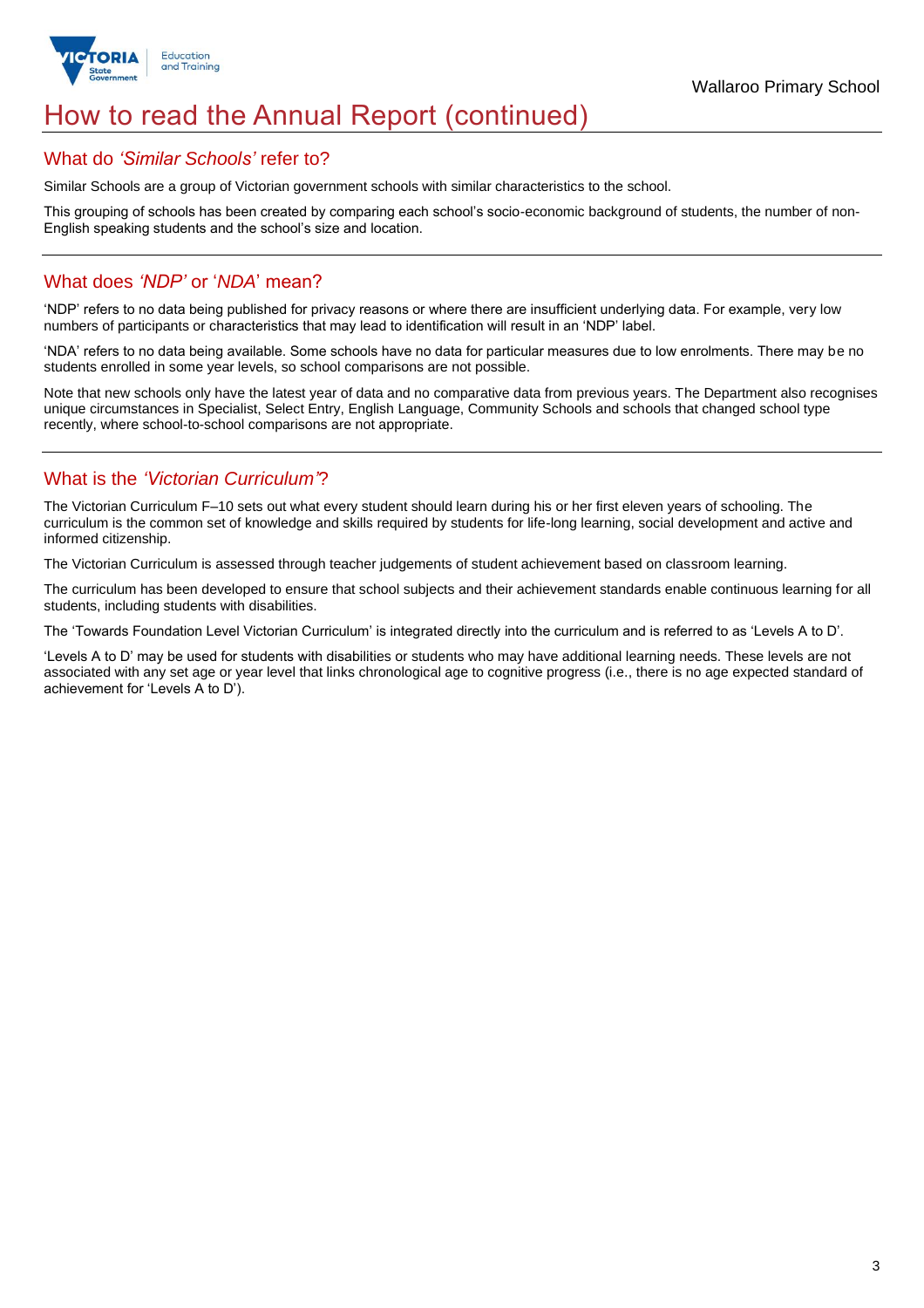

# How to read the Annual Report (continued)

#### What do *'Similar Schools'* refer to?

Similar Schools are a group of Victorian government schools with similar characteristics to the school.

This grouping of schools has been created by comparing each school's socio-economic background of students, the number of non-English speaking students and the school's size and location.

### What does *'NDP'* or '*NDA*' mean?

'NDP' refers to no data being published for privacy reasons or where there are insufficient underlying data. For example, very low numbers of participants or characteristics that may lead to identification will result in an 'NDP' label.

'NDA' refers to no data being available. Some schools have no data for particular measures due to low enrolments. There may be no students enrolled in some year levels, so school comparisons are not possible.

Note that new schools only have the latest year of data and no comparative data from previous years. The Department also recognises unique circumstances in Specialist, Select Entry, English Language, Community Schools and schools that changed school type recently, where school-to-school comparisons are not appropriate.

## What is the *'Victorian Curriculum'*?

The Victorian Curriculum F–10 sets out what every student should learn during his or her first eleven years of schooling. The curriculum is the common set of knowledge and skills required by students for life-long learning, social development and active and informed citizenship.

The Victorian Curriculum is assessed through teacher judgements of student achievement based on classroom learning.

The curriculum has been developed to ensure that school subjects and their achievement standards enable continuous learning for all students, including students with disabilities.

The 'Towards Foundation Level Victorian Curriculum' is integrated directly into the curriculum and is referred to as 'Levels A to D'.

'Levels A to D' may be used for students with disabilities or students who may have additional learning needs. These levels are not associated with any set age or year level that links chronological age to cognitive progress (i.e., there is no age expected standard of achievement for 'Levels A to D').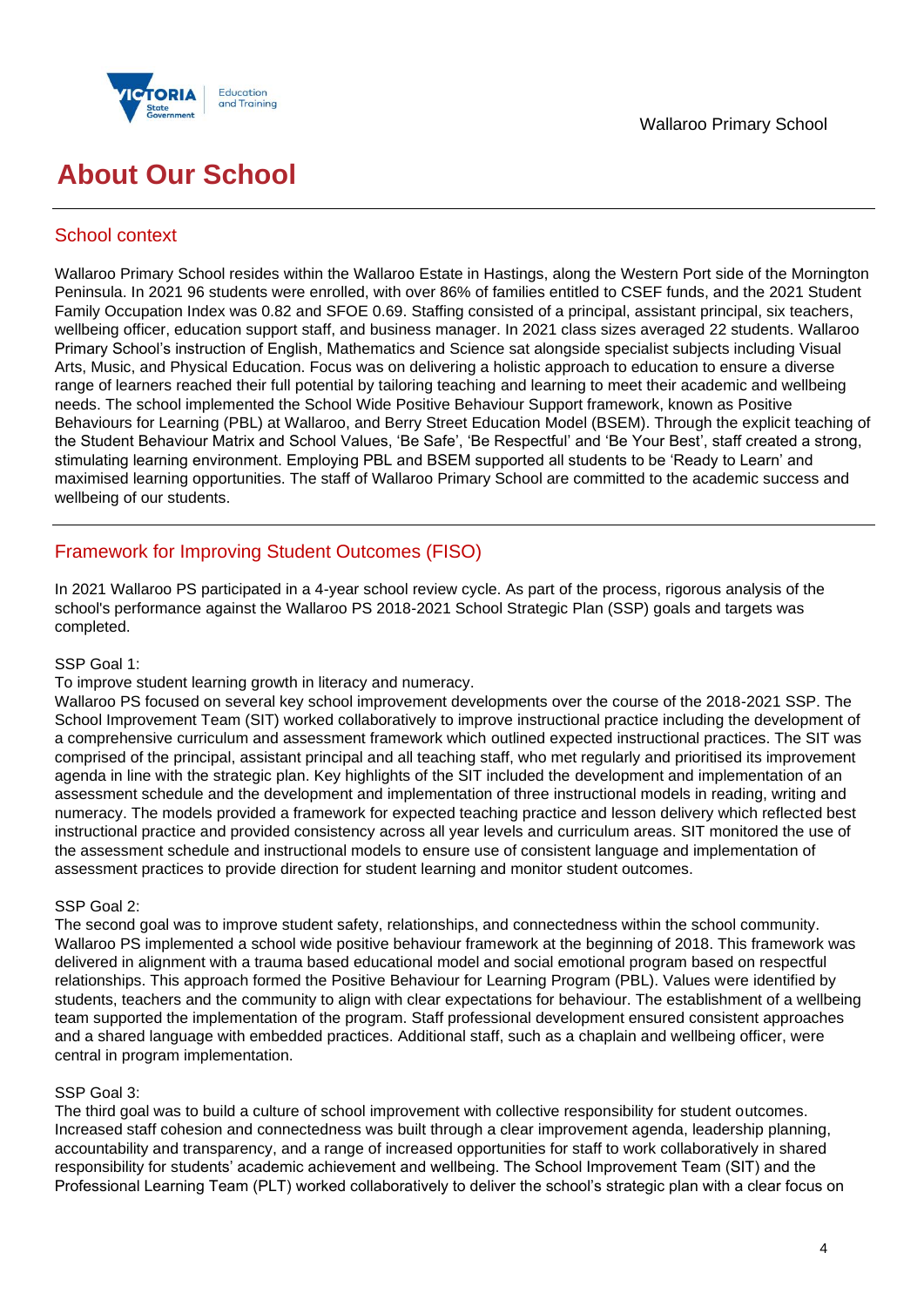

#### Wallaroo Primary School

# **About Our School**

### School context

Wallaroo Primary School resides within the Wallaroo Estate in Hastings, along the Western Port side of the Mornington Peninsula. In 2021 96 students were enrolled, with over 86% of families entitled to CSEF funds, and the 2021 Student Family Occupation Index was 0.82 and SFOE 0.69. Staffing consisted of a principal, assistant principal, six teachers, wellbeing officer, education support staff, and business manager. In 2021 class sizes averaged 22 students. Wallaroo Primary School's instruction of English, Mathematics and Science sat alongside specialist subjects including Visual Arts, Music, and Physical Education. Focus was on delivering a holistic approach to education to ensure a diverse range of learners reached their full potential by tailoring teaching and learning to meet their academic and wellbeing needs. The school implemented the School Wide Positive Behaviour Support framework, known as Positive Behaviours for Learning (PBL) at Wallaroo, and Berry Street Education Model (BSEM). Through the explicit teaching of the Student Behaviour Matrix and School Values, 'Be Safe', 'Be Respectful' and 'Be Your Best', staff created a strong, stimulating learning environment. Employing PBL and BSEM supported all students to be 'Ready to Learn' and maximised learning opportunities. The staff of Wallaroo Primary School are committed to the academic success and wellbeing of our students.

# Framework for Improving Student Outcomes (FISO)

In 2021 Wallaroo PS participated in a 4-year school review cycle. As part of the process, rigorous analysis of the school's performance against the Wallaroo PS 2018-2021 School Strategic Plan (SSP) goals and targets was completed.

#### SSP Goal 1:

#### To improve student learning growth in literacy and numeracy.

Wallaroo PS focused on several key school improvement developments over the course of the 2018-2021 SSP. The School Improvement Team (SIT) worked collaboratively to improve instructional practice including the development of a comprehensive curriculum and assessment framework which outlined expected instructional practices. The SIT was comprised of the principal, assistant principal and all teaching staff, who met regularly and prioritised its improvement agenda in line with the strategic plan. Key highlights of the SIT included the development and implementation of an assessment schedule and the development and implementation of three instructional models in reading, writing and numeracy. The models provided a framework for expected teaching practice and lesson delivery which reflected best instructional practice and provided consistency across all year levels and curriculum areas. SIT monitored the use of the assessment schedule and instructional models to ensure use of consistent language and implementation of assessment practices to provide direction for student learning and monitor student outcomes.

#### SSP Goal 2:

The second goal was to improve student safety, relationships, and connectedness within the school community. Wallaroo PS implemented a school wide positive behaviour framework at the beginning of 2018. This framework was delivered in alignment with a trauma based educational model and social emotional program based on respectful relationships. This approach formed the Positive Behaviour for Learning Program (PBL). Values were identified by students, teachers and the community to align with clear expectations for behaviour. The establishment of a wellbeing team supported the implementation of the program. Staff professional development ensured consistent approaches and a shared language with embedded practices. Additional staff, such as a chaplain and wellbeing officer, were central in program implementation.

#### SSP Goal 3:

The third goal was to build a culture of school improvement with collective responsibility for student outcomes. Increased staff cohesion and connectedness was built through a clear improvement agenda, leadership planning, accountability and transparency, and a range of increased opportunities for staff to work collaboratively in shared responsibility for students' academic achievement and wellbeing. The School Improvement Team (SIT) and the Professional Learning Team (PLT) worked collaboratively to deliver the school's strategic plan with a clear focus on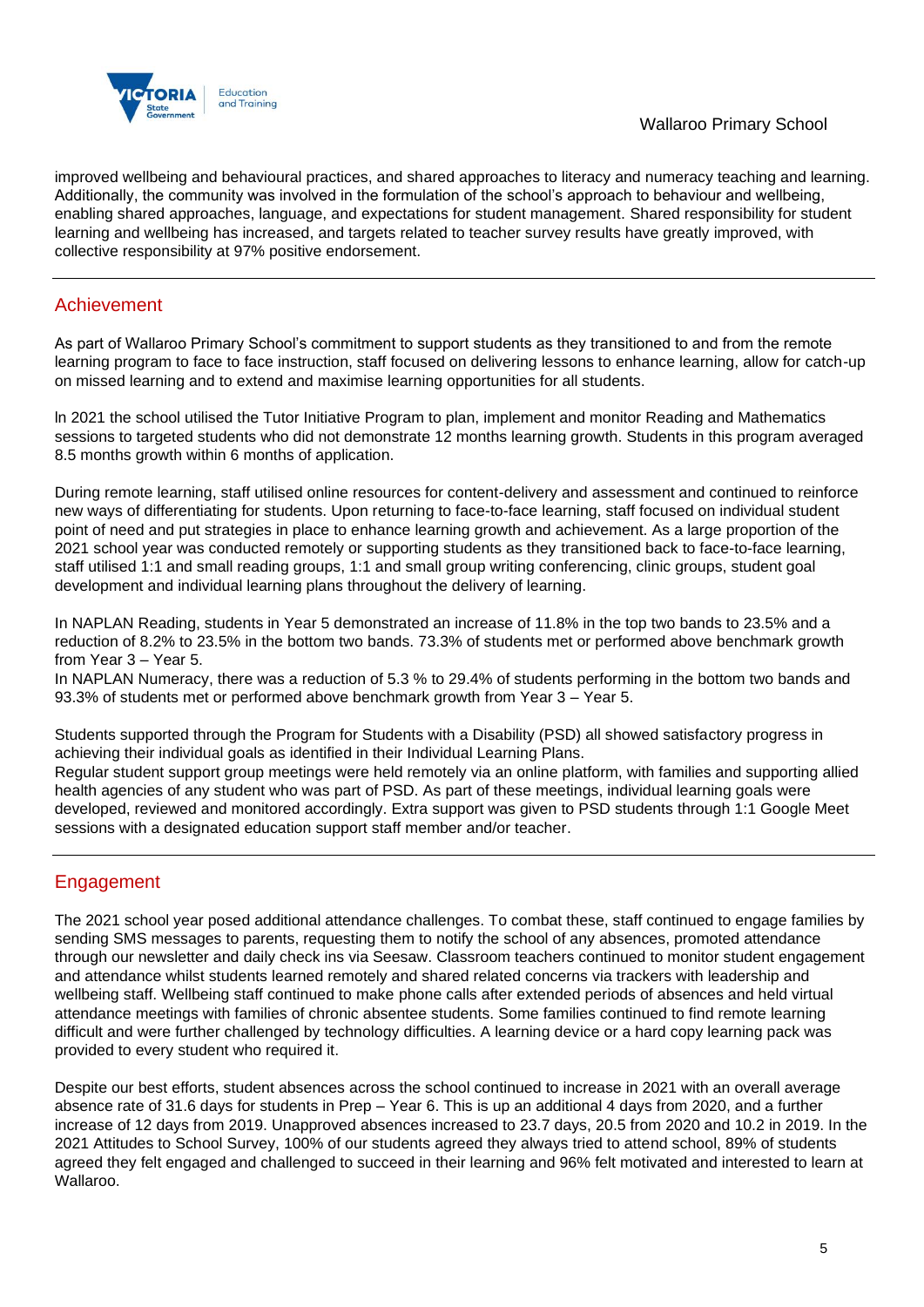

improved wellbeing and behavioural practices, and shared approaches to literacy and numeracy teaching and learning. Additionally, the community was involved in the formulation of the school's approach to behaviour and wellbeing, enabling shared approaches, language, and expectations for student management. Shared responsibility for student learning and wellbeing has increased, and targets related to teacher survey results have greatly improved, with collective responsibility at 97% positive endorsement.

### Achievement

As part of Wallaroo Primary School's commitment to support students as they transitioned to and from the remote learning program to face to face instruction, staff focused on delivering lessons to enhance learning, allow for catch-up on missed learning and to extend and maximise learning opportunities for all students.

ln 2021 the school utilised the Tutor Initiative Program to plan, implement and monitor Reading and Mathematics sessions to targeted students who did not demonstrate 12 months learning growth. Students in this program averaged 8.5 months growth within 6 months of application.

During remote learning, staff utilised online resources for content-delivery and assessment and continued to reinforce new ways of differentiating for students. Upon returning to face-to-face learning, staff focused on individual student point of need and put strategies in place to enhance learning growth and achievement. As a large proportion of the 2021 school year was conducted remotely or supporting students as they transitioned back to face-to-face learning, staff utilised 1:1 and small reading groups, 1:1 and small group writing conferencing, clinic groups, student goal development and individual learning plans throughout the delivery of learning.

In NAPLAN Reading, students in Year 5 demonstrated an increase of 11.8% in the top two bands to 23.5% and a reduction of 8.2% to 23.5% in the bottom two bands. 73.3% of students met or performed above benchmark growth from Year 3 – Year 5.

In NAPLAN Numeracy, there was a reduction of 5.3 % to 29.4% of students performing in the bottom two bands and 93.3% of students met or performed above benchmark growth from Year 3 – Year 5.

Students supported through the Program for Students with a Disability (PSD) all showed satisfactory progress in achieving their individual goals as identified in their Individual Learning Plans.

Regular student support group meetings were held remotely via an online platform, with families and supporting allied health agencies of any student who was part of PSD. As part of these meetings, individual learning goals were developed, reviewed and monitored accordingly. Extra support was given to PSD students through 1:1 Google Meet sessions with a designated education support staff member and/or teacher.

# Engagement

The 2021 school year posed additional attendance challenges. To combat these, staff continued to engage families by sending SMS messages to parents, requesting them to notify the school of any absences, promoted attendance through our newsletter and daily check ins via Seesaw. Classroom teachers continued to monitor student engagement and attendance whilst students learned remotely and shared related concerns via trackers with leadership and wellbeing staff. Wellbeing staff continued to make phone calls after extended periods of absences and held virtual attendance meetings with families of chronic absentee students. Some families continued to find remote learning difficult and were further challenged by technology difficulties. A learning device or a hard copy learning pack was provided to every student who required it.

Despite our best efforts, student absences across the school continued to increase in 2021 with an overall average absence rate of 31.6 days for students in Prep – Year 6. This is up an additional 4 days from 2020, and a further increase of 12 days from 2019. Unapproved absences increased to 23.7 days, 20.5 from 2020 and 10.2 in 2019. In the 2021 Attitudes to School Survey, 100% of our students agreed they always tried to attend school, 89% of students agreed they felt engaged and challenged to succeed in their learning and 96% felt motivated and interested to learn at Wallaroo.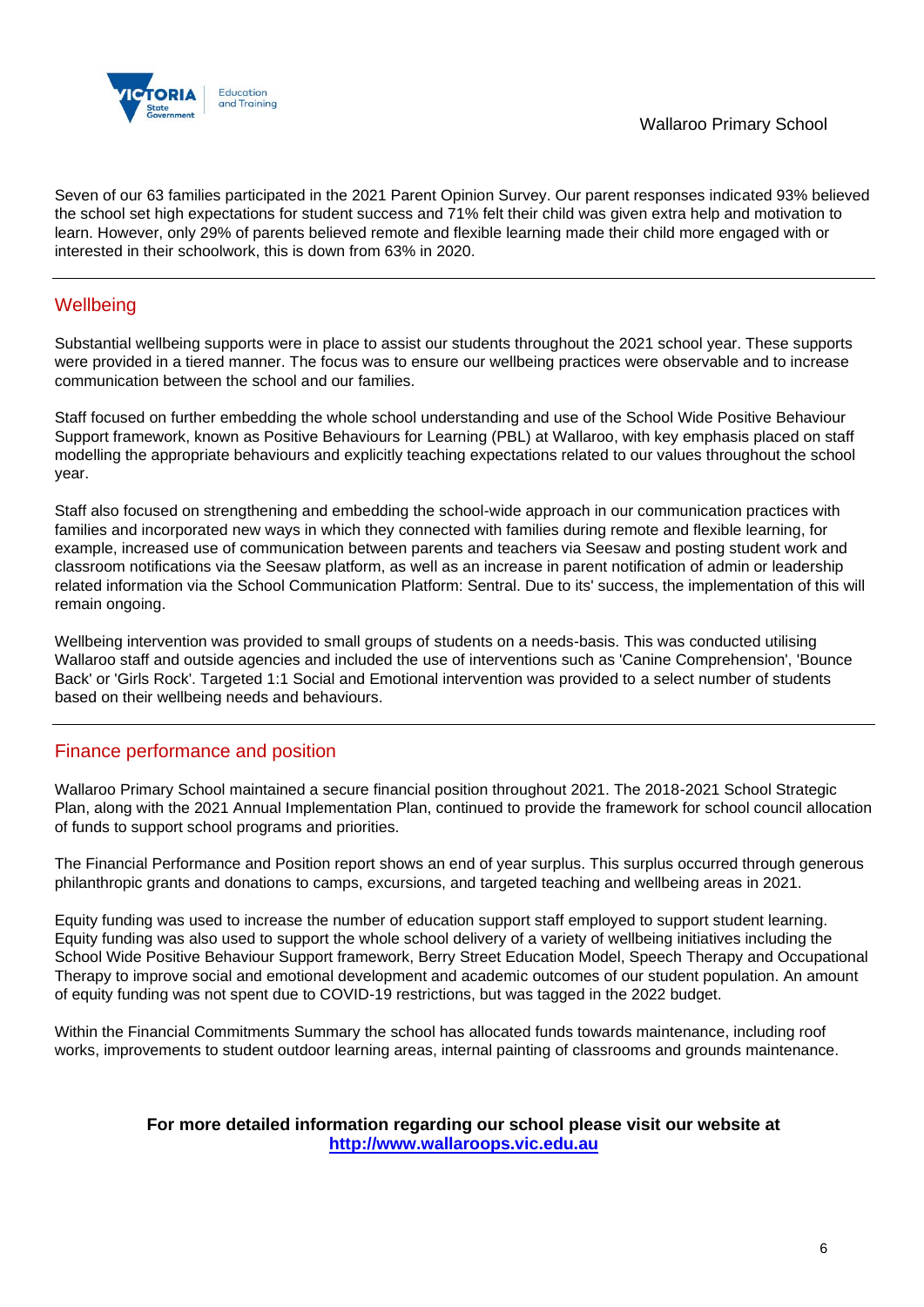

Seven of our 63 families participated in the 2021 Parent Opinion Survey. Our parent responses indicated 93% believed the school set high expectations for student success and 71% felt their child was given extra help and motivation to learn. However, only 29% of parents believed remote and flexible learning made their child more engaged with or interested in their schoolwork, this is down from 63% in 2020.

## **Wellbeing**

Substantial wellbeing supports were in place to assist our students throughout the 2021 school year. These supports were provided in a tiered manner. The focus was to ensure our wellbeing practices were observable and to increase communication between the school and our families.

Staff focused on further embedding the whole school understanding and use of the School Wide Positive Behaviour Support framework, known as Positive Behaviours for Learning (PBL) at Wallaroo, with key emphasis placed on staff modelling the appropriate behaviours and explicitly teaching expectations related to our values throughout the school year.

Staff also focused on strengthening and embedding the school-wide approach in our communication practices with families and incorporated new ways in which they connected with families during remote and flexible learning, for example, increased use of communication between parents and teachers via Seesaw and posting student work and classroom notifications via the Seesaw platform, as well as an increase in parent notification of admin or leadership related information via the School Communication Platform: Sentral. Due to its' success, the implementation of this will remain ongoing.

Wellbeing intervention was provided to small groups of students on a needs-basis. This was conducted utilising Wallaroo staff and outside agencies and included the use of interventions such as 'Canine Comprehension', 'Bounce Back' or 'Girls Rock'. Targeted 1:1 Social and Emotional intervention was provided to a select number of students based on their wellbeing needs and behaviours.

#### Finance performance and position

Wallaroo Primary School maintained a secure financial position throughout 2021. The 2018-2021 School Strategic Plan, along with the 2021 Annual Implementation Plan, continued to provide the framework for school council allocation of funds to support school programs and priorities.

The Financial Performance and Position report shows an end of year surplus. This surplus occurred through generous philanthropic grants and donations to camps, excursions, and targeted teaching and wellbeing areas in 2021.

Equity funding was used to increase the number of education support staff employed to support student learning. Equity funding was also used to support the whole school delivery of a variety of wellbeing initiatives including the School Wide Positive Behaviour Support framework, Berry Street Education Model, Speech Therapy and Occupational Therapy to improve social and emotional development and academic outcomes of our student population. An amount of equity funding was not spent due to COVID-19 restrictions, but was tagged in the 2022 budget.

Within the Financial Commitments Summary the school has allocated funds towards maintenance, including roof works, improvements to student outdoor learning areas, internal painting of classrooms and grounds maintenance.

#### **For more detailed information regarding our school please visit our website at [http://www.wallaroops.vic.edu.au](http://www.wallaroops.vic.edu.au/)**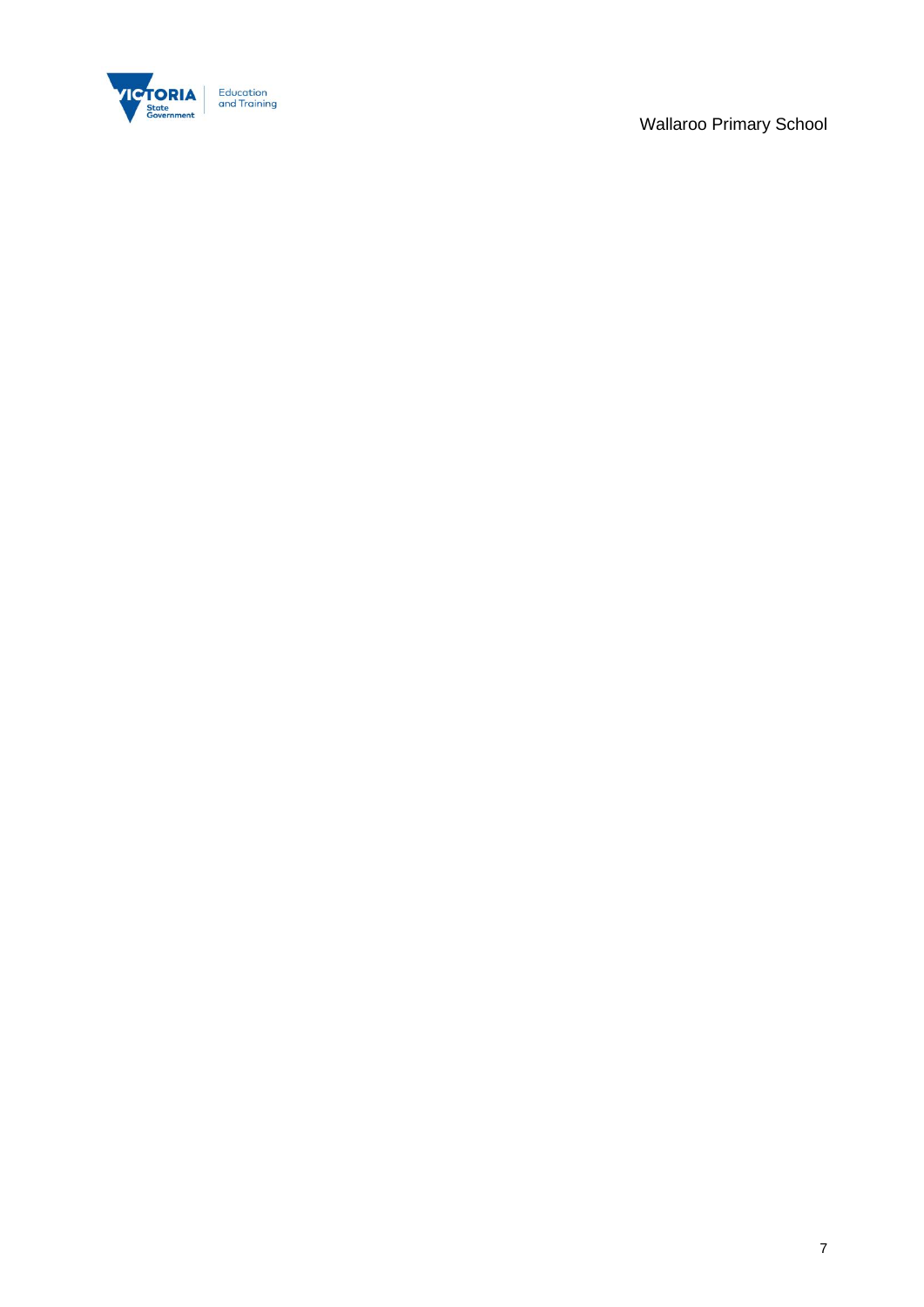

Wallaroo Primary School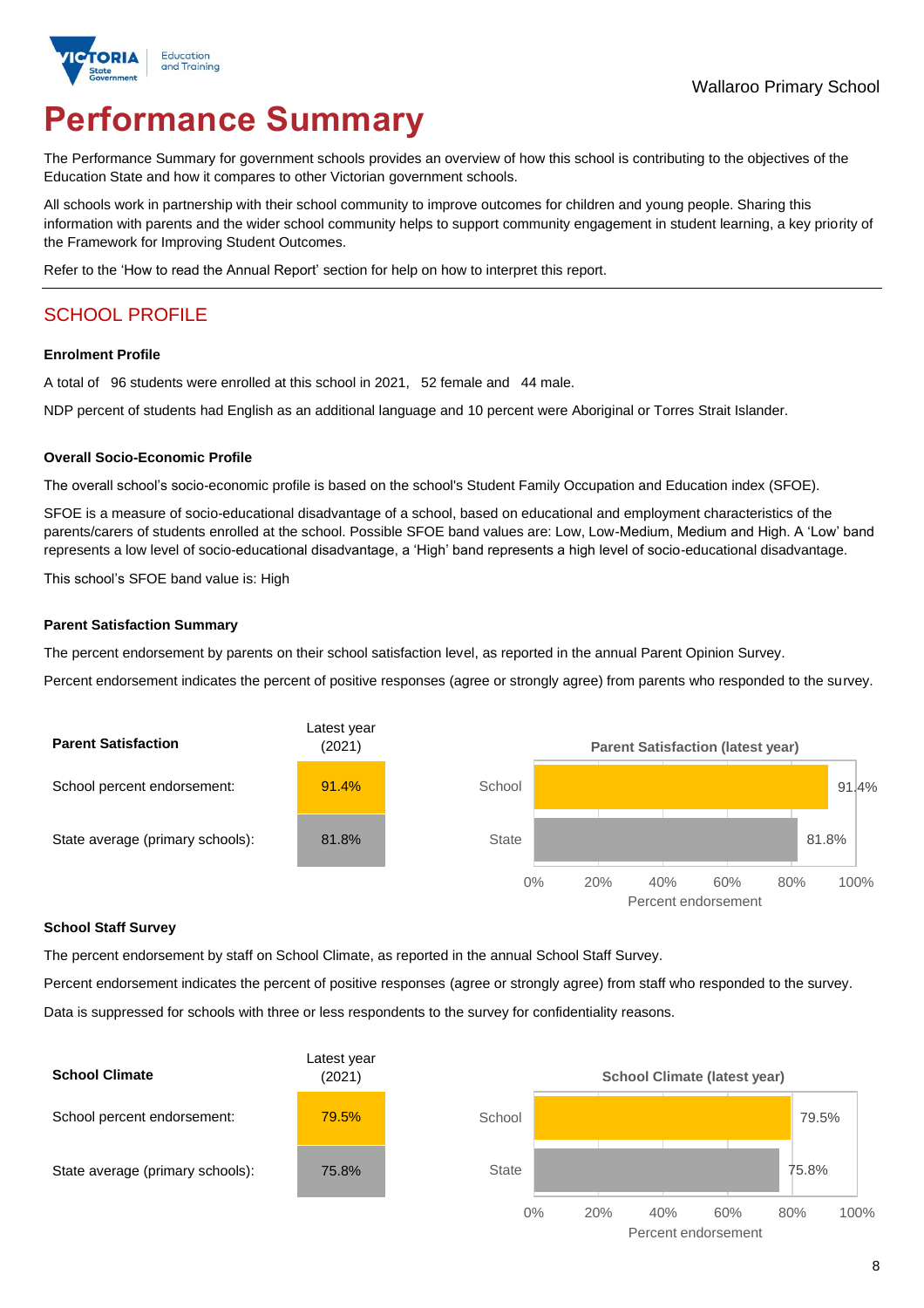

# **Performance Summary**

The Performance Summary for government schools provides an overview of how this school is contributing to the objectives of the Education State and how it compares to other Victorian government schools.

All schools work in partnership with their school community to improve outcomes for children and young people. Sharing this information with parents and the wider school community helps to support community engagement in student learning, a key priority of the Framework for Improving Student Outcomes.

Refer to the 'How to read the Annual Report' section for help on how to interpret this report.

# SCHOOL PROFILE

#### **Enrolment Profile**

A total of 96 students were enrolled at this school in 2021, 52 female and 44 male.

NDP percent of students had English as an additional language and 10 percent were Aboriginal or Torres Strait Islander.

#### **Overall Socio-Economic Profile**

The overall school's socio-economic profile is based on the school's Student Family Occupation and Education index (SFOE).

SFOE is a measure of socio-educational disadvantage of a school, based on educational and employment characteristics of the parents/carers of students enrolled at the school. Possible SFOE band values are: Low, Low-Medium, Medium and High. A 'Low' band represents a low level of socio-educational disadvantage, a 'High' band represents a high level of socio-educational disadvantage.

This school's SFOE band value is: High

#### **Parent Satisfaction Summary**

The percent endorsement by parents on their school satisfaction level, as reported in the annual Parent Opinion Survey.

Percent endorsement indicates the percent of positive responses (agree or strongly agree) from parents who responded to the survey.



#### **School Staff Survey**

The percent endorsement by staff on School Climate, as reported in the annual School Staff Survey.

Percent endorsement indicates the percent of positive responses (agree or strongly agree) from staff who responded to the survey. Data is suppressed for schools with three or less respondents to the survey for confidentiality reasons.

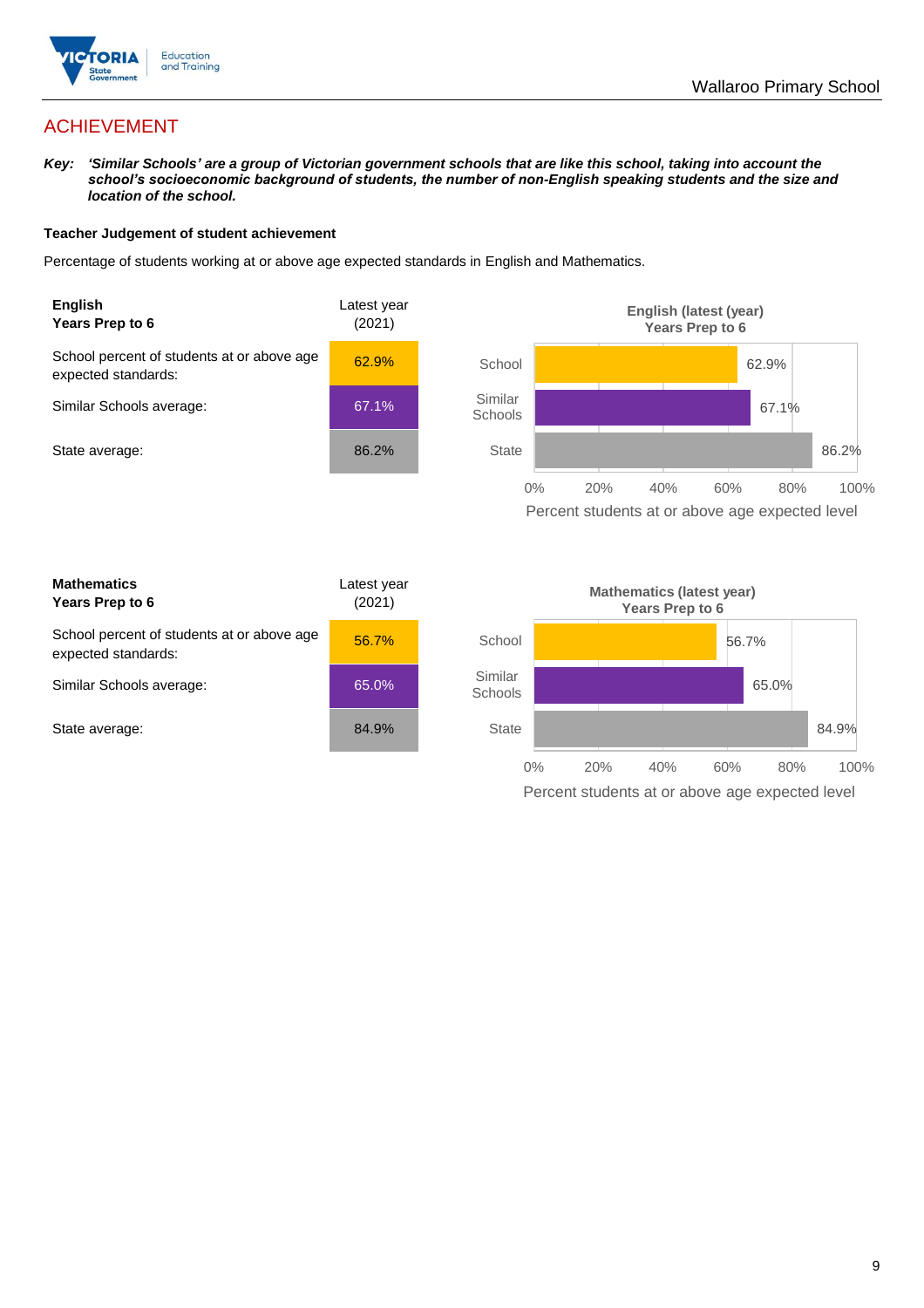

# ACHIEVEMENT

*Key: 'Similar Schools' are a group of Victorian government schools that are like this school, taking into account the school's socioeconomic background of students, the number of non-English speaking students and the size and location of the school.*

#### **Teacher Judgement of student achievement**

Percentage of students working at or above age expected standards in English and Mathematics.



Percent students at or above age expected level

| <b>Mathematics</b><br>Years Prep to 6                             | Latest year<br>(2021) |
|-------------------------------------------------------------------|-----------------------|
| School percent of students at or above age<br>expected standards: | 56.7%                 |
| Similar Schools average:                                          | $65.0\%$              |
| State average:                                                    | 84.9%                 |

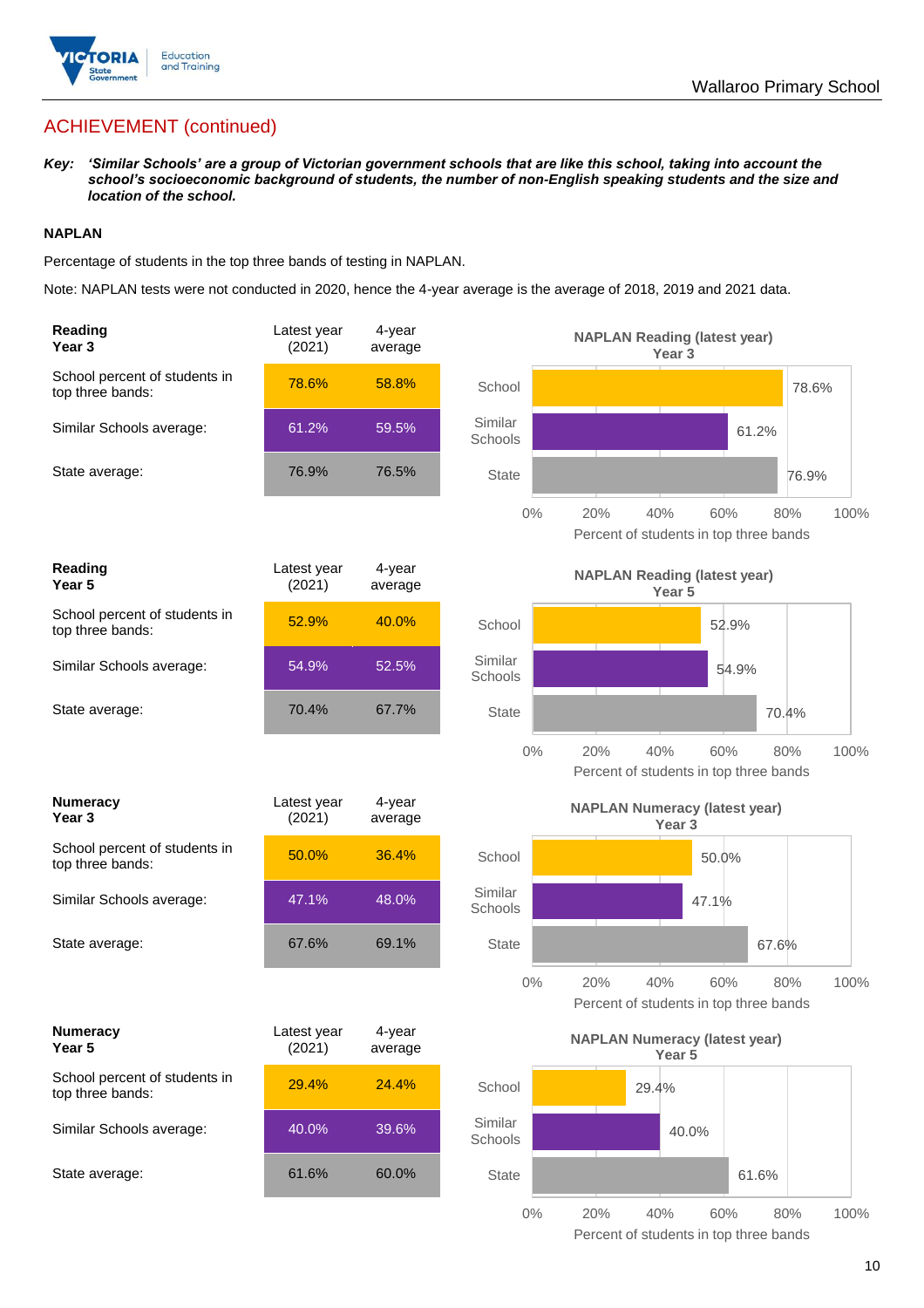

# ACHIEVEMENT (continued)

*Key: 'Similar Schools' are a group of Victorian government schools that are like this school, taking into account the school's socioeconomic background of students, the number of non-English speaking students and the size and location of the school.*

#### **NAPLAN**

Percentage of students in the top three bands of testing in NAPLAN.

Note: NAPLAN tests were not conducted in 2020, hence the 4-year average is the average of 2018, 2019 and 2021 data.

| Reading<br>Year <sub>3</sub>                      | Latest year<br>(2021) | 4-year<br>average |                    | <b>NAPLAN Reading (latest year)</b><br>Year 3                              |
|---------------------------------------------------|-----------------------|-------------------|--------------------|----------------------------------------------------------------------------|
| School percent of students in<br>top three bands: | 78.6%                 | 58.8%             | School             | 78.6%                                                                      |
| Similar Schools average:                          | 61.2%                 | 59.5%             | Similar<br>Schools | 61.2%                                                                      |
| State average:                                    | 76.9%                 | 76.5%             | <b>State</b>       | 76.9%                                                                      |
|                                                   |                       |                   | $0\%$              | 20%<br>40%<br>60%<br>100%<br>80%<br>Percent of students in top three bands |
| Reading<br>Year <sub>5</sub>                      | Latest year<br>(2021) | 4-year<br>average |                    | <b>NAPLAN Reading (latest year)</b><br>Year 5                              |
| School percent of students in<br>top three bands: | 52.9%                 | 40.0%             | School             | 52.9%                                                                      |
| Similar Schools average:                          | 54.9%                 | 52.5%             | Similar<br>Schools | 54.9%                                                                      |
| State average:                                    | 70.4%                 | 67.7%             | <b>State</b>       | 70.4%                                                                      |
|                                                   |                       |                   | $0\%$              | 20%<br>40%<br>60%<br>80%<br>100%<br>Percent of students in top three bands |
|                                                   |                       |                   |                    |                                                                            |
| <b>Numeracy</b><br>Year <sub>3</sub>              | Latest year<br>(2021) | 4-year<br>average |                    | <b>NAPLAN Numeracy (latest year)</b><br>Year <sub>3</sub>                  |
| School percent of students in<br>top three bands: | 50.0%                 | 36.4%             | School             | 50.0%                                                                      |
| Similar Schools average:                          | 47.1%                 | 48.0%             | Similar<br>Schools | 47.1%                                                                      |
| State average:                                    | 67.6%                 | 69.1%             | <b>State</b>       | 67.6%                                                                      |
|                                                   |                       |                   | $0\%$              | 20%<br>40%<br>60%<br>80%<br>100%<br>Percent of students in top three bands |
| <b>Numeracy</b><br>Year 5                         | Latest year<br>(2021) | 4-year<br>average |                    | <b>NAPLAN Numeracy (latest year)</b><br>Year 5                             |
| School percent of students in<br>top three bands: | 29.4%                 | 24.4%             | School             | 29.4%                                                                      |
| Similar Schools average:                          | 40.0%                 | 39.6%             | Similar<br>Schools | 40.0%                                                                      |
| State average:                                    | 61.6%                 | 60.0%             | <b>State</b>       | 61.6%                                                                      |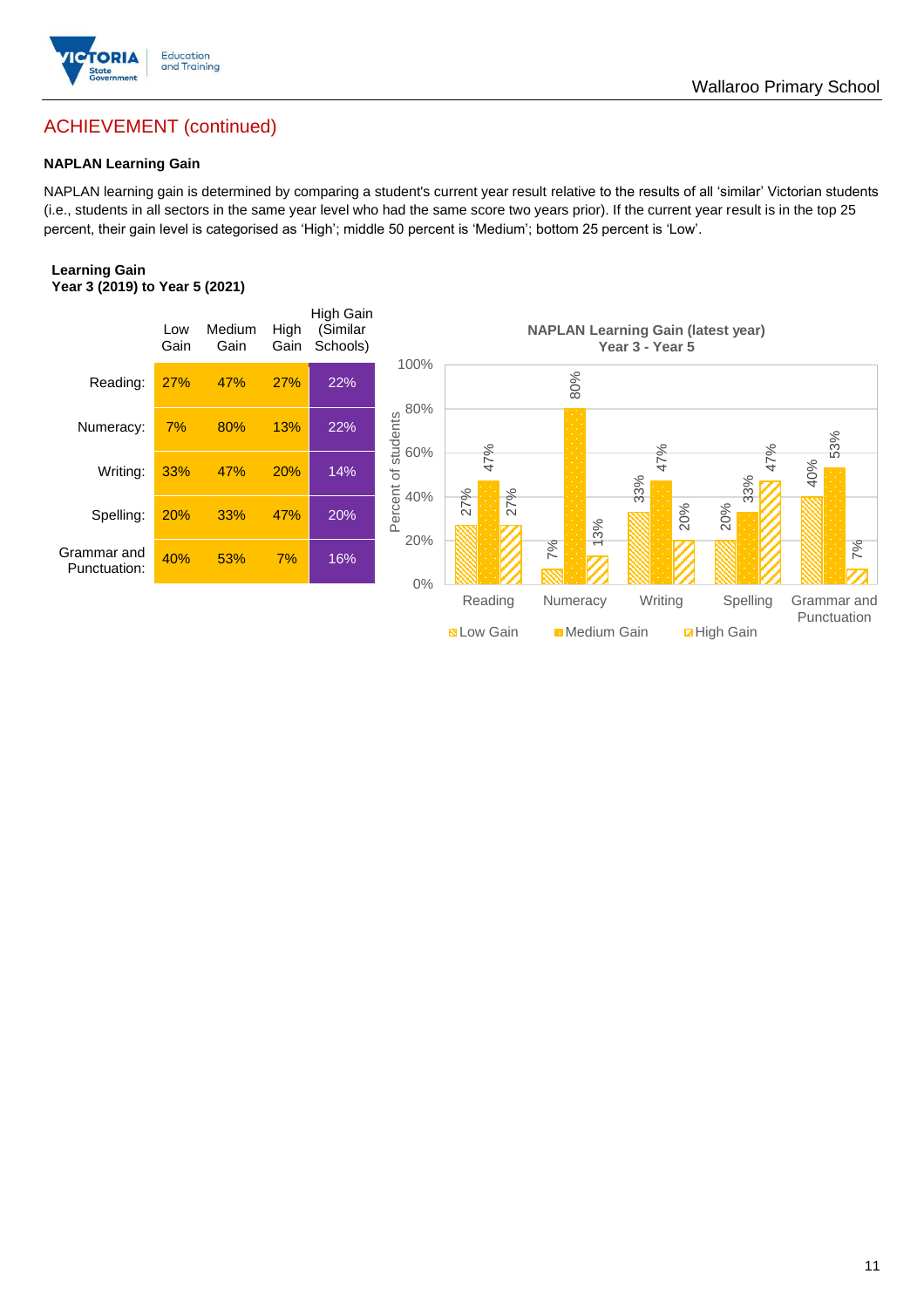

# ACHIEVEMENT (continued)

#### **NAPLAN Learning Gain**

NAPLAN learning gain is determined by comparing a student's current year result relative to the results of all 'similar' Victorian students (i.e., students in all sectors in the same year level who had the same score two years prior). If the current year result is in the top 25 percent, their gain level is categorised as 'High'; middle 50 percent is 'Medium'; bottom 25 percent is 'Low'.

#### **Learning Gain Year 3 (2019) to Year 5 (2021)**



**BLow Gain** Medium Gain **Example 10** 

Wallaroo Primary School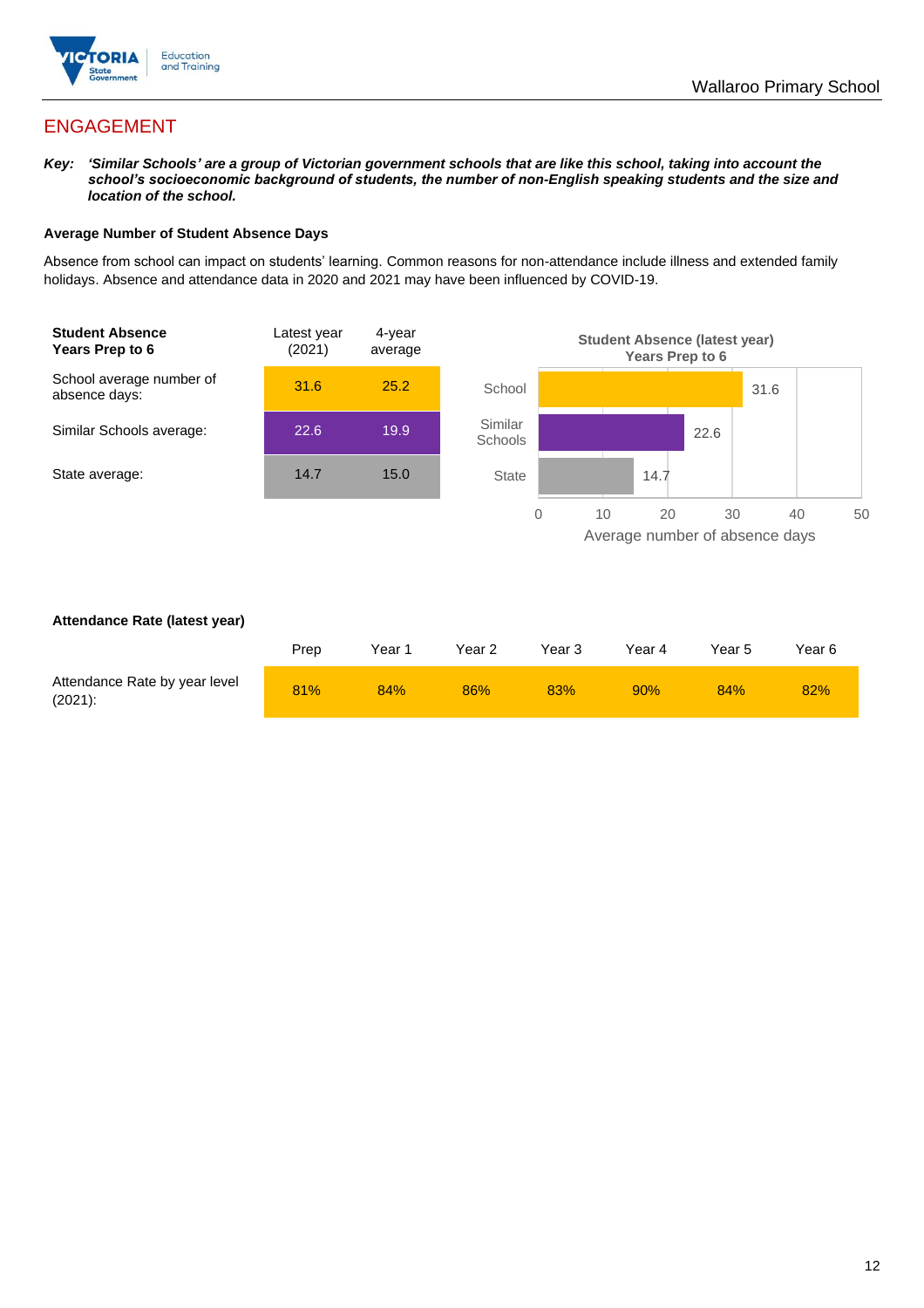

# ENGAGEMENT

*Key: 'Similar Schools' are a group of Victorian government schools that are like this school, taking into account the school's socioeconomic background of students, the number of non-English speaking students and the size and location of the school.*

#### **Average Number of Student Absence Days**

Absence from school can impact on students' learning. Common reasons for non-attendance include illness and extended family holidays. Absence and attendance data in 2020 and 2021 may have been influenced by COVID-19.



#### **Attendance Rate (latest year)**

|                                             | Prep | Year 1 | Year 2 | Year 3 | Year 4 | Year 5 | Year 6 |
|---------------------------------------------|------|--------|--------|--------|--------|--------|--------|
| Attendance Rate by year level<br>$(2021)$ : | 81%  | 84%    | 86%    | 83%    | 90%    | 84%    | 82%    |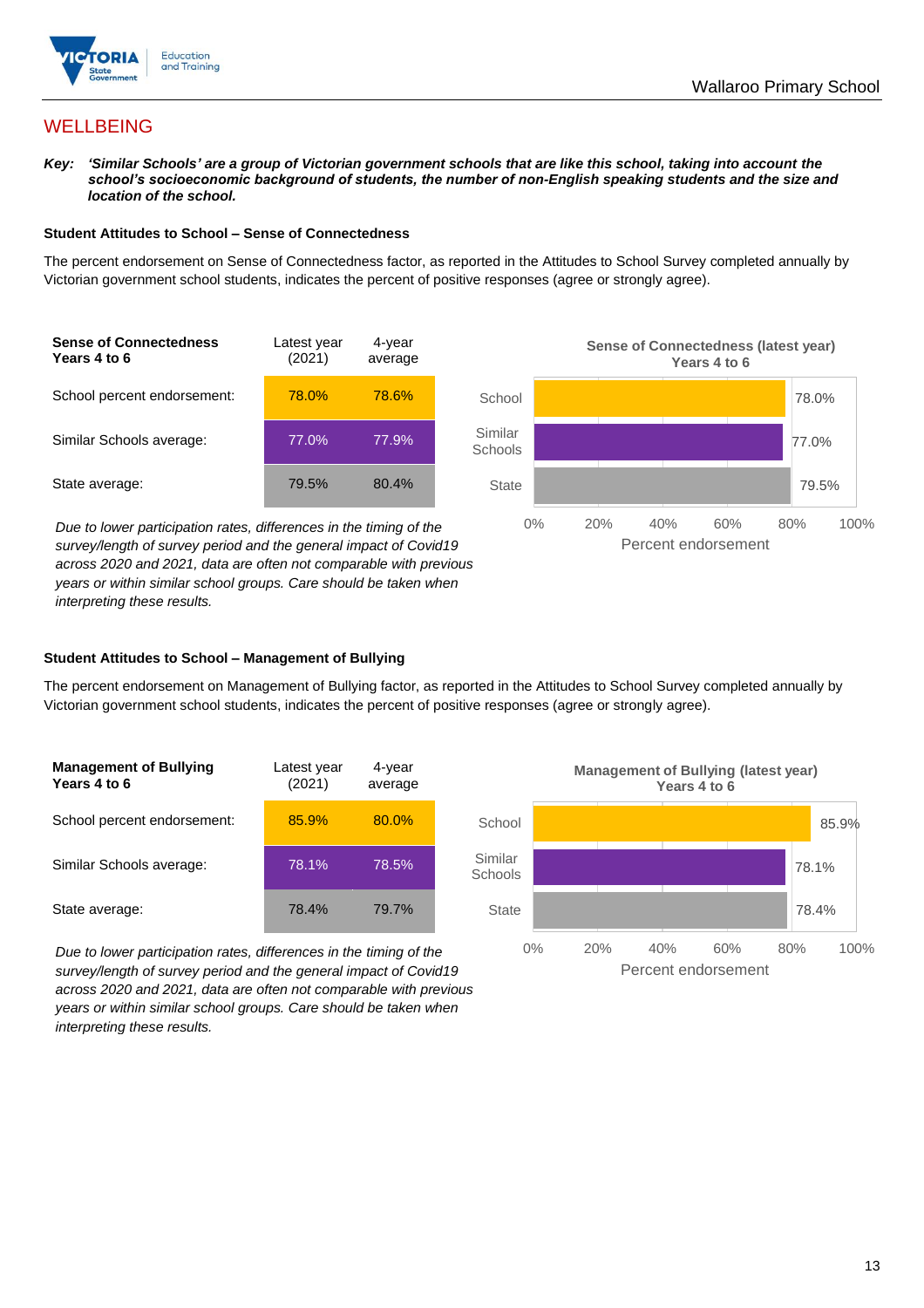

## **WELLBEING**

*Key: 'Similar Schools' are a group of Victorian government schools that are like this school, taking into account the school's socioeconomic background of students, the number of non-English speaking students and the size and location of the school.*

#### **Student Attitudes to School – Sense of Connectedness**

The percent endorsement on Sense of Connectedness factor, as reported in the Attitudes to School Survey completed annually by Victorian government school students, indicates the percent of positive responses (agree or strongly agree).



*Due to lower participation rates, differences in the timing of the survey/length of survey period and the general impact of Covid19 across 2020 and 2021, data are often not comparable with previous years or within similar school groups. Care should be taken when interpreting these results.*



#### **Student Attitudes to School – Management of Bullying**

The percent endorsement on Management of Bullying factor, as reported in the Attitudes to School Survey completed annually by Victorian government school students, indicates the percent of positive responses (agree or strongly agree).

| <b>Management of Bullying</b><br>Years 4 to 6 | Latest year<br>(2021) | 4-year<br>average |  |
|-----------------------------------------------|-----------------------|-------------------|--|
| School percent endorsement:                   | 85.9%                 | 80.0%             |  |
| Similar Schools average:                      | 78.1%                 | 78.5%             |  |
| State average:                                | 78.4%                 | 79.7%             |  |

*Due to lower participation rates, differences in the timing of the survey/length of survey period and the general impact of Covid19 across 2020 and 2021, data are often not comparable with previous years or within similar school groups. Care should be taken when interpreting these results.*

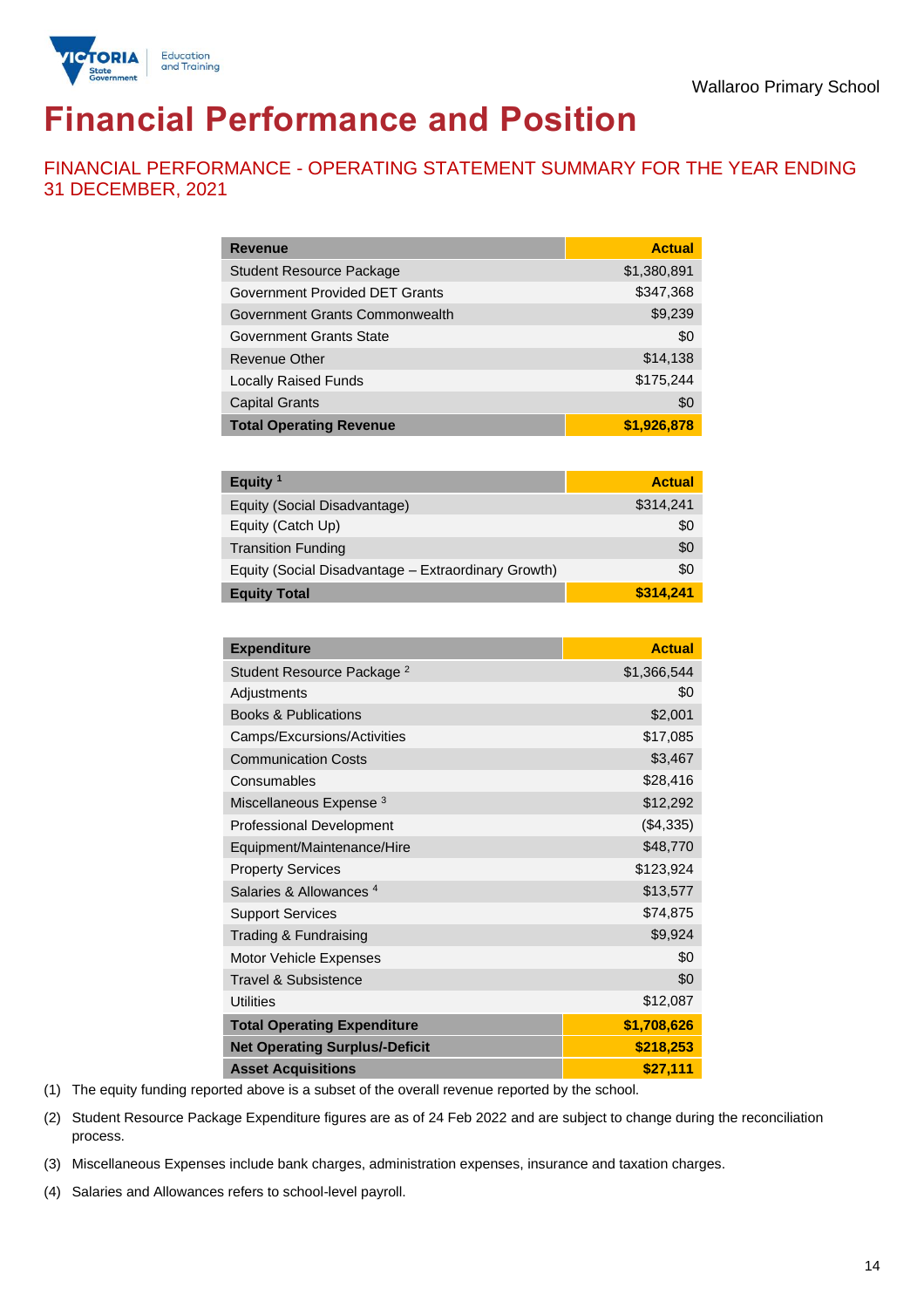

# **Financial Performance and Position**

FINANCIAL PERFORMANCE - OPERATING STATEMENT SUMMARY FOR THE YEAR ENDING 31 DECEMBER, 2021

| <b>Revenue</b>                  | <b>Actual</b> |
|---------------------------------|---------------|
| <b>Student Resource Package</b> | \$1,380,891   |
| Government Provided DET Grants  | \$347,368     |
| Government Grants Commonwealth  | \$9,239       |
| Government Grants State         | \$0           |
| Revenue Other                   | \$14,138      |
| <b>Locally Raised Funds</b>     | \$175,244     |
| <b>Capital Grants</b>           | \$0           |
| <b>Total Operating Revenue</b>  | \$1,926,878   |

| Equity <sup>1</sup>                                 | <b>Actual</b> |
|-----------------------------------------------------|---------------|
| Equity (Social Disadvantage)                        | \$314,241     |
| Equity (Catch Up)                                   | \$0           |
| <b>Transition Funding</b>                           | \$0           |
| Equity (Social Disadvantage - Extraordinary Growth) | \$0           |
| <b>Equity Total</b>                                 | \$314,241     |

| <b>Expenditure</b>                    | <b>Actual</b> |
|---------------------------------------|---------------|
| Student Resource Package <sup>2</sup> | \$1,366,544   |
| Adjustments                           | \$0           |
| <b>Books &amp; Publications</b>       | \$2,001       |
| Camps/Excursions/Activities           | \$17,085      |
| <b>Communication Costs</b>            | \$3,467       |
| Consumables                           | \$28,416      |
| Miscellaneous Expense <sup>3</sup>    | \$12,292      |
| <b>Professional Development</b>       | (\$4,335)     |
| Equipment/Maintenance/Hire            | \$48,770      |
| <b>Property Services</b>              | \$123,924     |
| Salaries & Allowances <sup>4</sup>    | \$13,577      |
| <b>Support Services</b>               | \$74,875      |
| Trading & Fundraising                 | \$9,924       |
| Motor Vehicle Expenses                | \$0           |
| <b>Travel &amp; Subsistence</b>       | \$0           |
| <b>Utilities</b>                      | \$12,087      |
| <b>Total Operating Expenditure</b>    | \$1,708,626   |
| <b>Net Operating Surplus/-Deficit</b> | \$218,253     |
| <b>Asset Acquisitions</b>             | \$27,111      |

(1) The equity funding reported above is a subset of the overall revenue reported by the school.

(2) Student Resource Package Expenditure figures are as of 24 Feb 2022 and are subject to change during the reconciliation process.

(3) Miscellaneous Expenses include bank charges, administration expenses, insurance and taxation charges.

(4) Salaries and Allowances refers to school-level payroll.